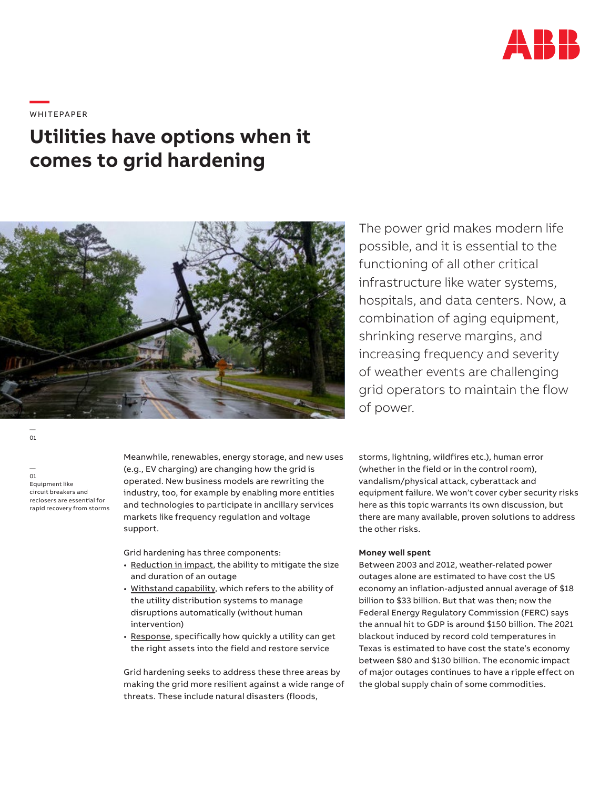

**—**  WHITEPAPER

# **Utilities have options when it comes to grid hardening**



The power grid makes modern life possible, and it is essential to the functioning of all other critical infrastructure like water systems, hospitals, and data centers. Now, a combination of aging equipment, shrinking reserve margins, and increasing frequency and severity of weather events are challenging grid operators to maintain the flow of power.

— 01 Equipment like circuit breakers and reclosers are essential for rapid recovery from storms

— 01

Meanwhile, renewables, energy storage, and new uses (e.g., EV charging) are changing how the grid is operated. New business models are rewriting the industry, too, for example by enabling more entities and technologies to participate in ancillary services markets like frequency regulation and voltage support.

Grid hardening has three components:

- Reduction in impact, the ability to mitigate the size and duration of an outage
- Withstand capability, which refers to the ability of the utility distribution systems to manage disruptions automatically (without human intervention)
- Response, specifically how quickly a utility can get the right assets into the field and restore service

Grid hardening seeks to address these three areas by making the grid more resilient against a wide range of threats. These include natural disasters (floods,

storms, lightning, wildfires etc.), human error (whether in the field or in the control room), vandalism/physical attack, cyberattack and equipment failure. We won't cover cyber security risks here as this topic warrants its own discussion, but there are many available, proven solutions to address the other risks.

# **Money well spent**

Between 2003 and 2012, weather-related power outages alone are estimated to have cost the US economy an inflation-adjusted annual average of \$18 billion to \$33 billion. But that was then; now the Federal Energy Regulatory Commission (FERC) says the annual hit to GDP is around \$150 billion. The 2021 blackout induced by record cold temperatures in Texas is estimated to have cost the state's economy between \$80 and \$130 billion. The economic impact of major outages continues to have a ripple effect on the global supply chain of some commodities.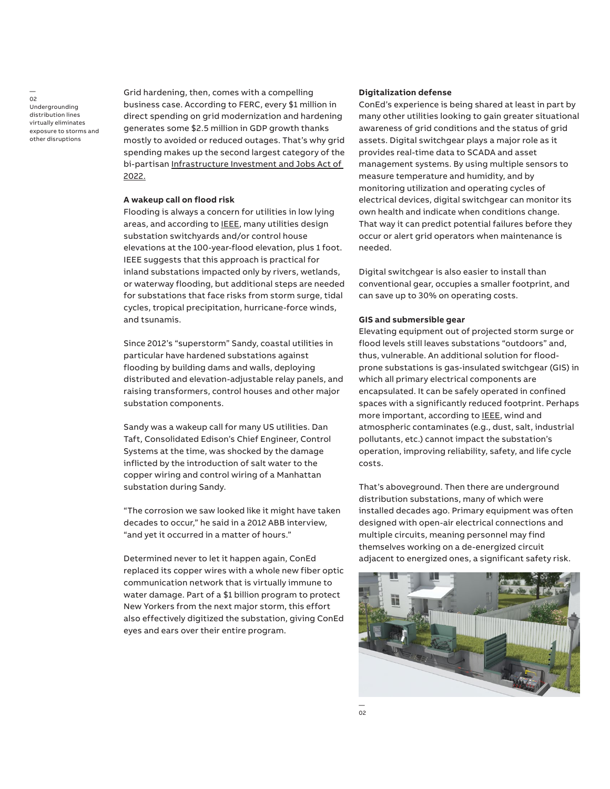—  $0<sup>2</sup>$ Undergrounding distribution lines virtually eliminates exposure to storms and other disruptions

Grid hardening, then, comes with a compelling business case. According to FERC, every \$1 million in direct spending on grid modernization and hardening generates some \$2.5 million in GDP growth thanks mostly to avoided or reduced outages. That's why grid spending makes up the second largest category of the bi-partisan Infrastructure Investment and Jobs Act of 2022.

#### **A wakeup call on flood risk**

Flooding is always a concern for utilities in low lying areas, and according to IEEE, many utilities design substation switchyards and/or control house elevations at the 100-year-flood elevation, plus 1 foot. IEEE suggests that this approach is practical for inland substations impacted only by rivers, wetlands, or waterway flooding, but additional steps are needed for substations that face risks from storm surge, tidal cycles, tropical precipitation, hurricane-force winds, and tsunamis.

Since 2012's "superstorm" Sandy, coastal utilities in particular have hardened substations against flooding by building dams and walls, deploying distributed and elevation-adjustable relay panels, and raising transformers, control houses and other major substation components.

Sandy was a wakeup call for many US utilities. Dan Taft, Consolidated Edison's Chief Engineer, Control Systems at the time, was shocked by the damage inflicted by the introduction of salt water to the copper wiring and control wiring of a Manhattan substation during Sandy.

"The corrosion we saw looked like it might have taken decades to occur," he said in a 2012 ABB interview, "and yet it occurred in a matter of hours."

Determined never to let it happen again, ConEd replaced its copper wires with a whole new fiber optic communication network that is virtually immune to water damage. Part of a \$1 billion program to protect New Yorkers from the next major storm, this effort also effectively digitized the substation, giving ConEd eyes and ears over their entire program.

# **Digitalization defense**

ConEd's experience is being shared at least in part by many other utilities looking to gain greater situational awareness of grid conditions and the status of grid assets. Digital switchgear plays a major role as it provides real-time data to SCADA and asset management systems. By using multiple sensors to measure temperature and humidity, and by monitoring utilization and operating cycles of electrical devices, digital switchgear can monitor its own health and indicate when conditions change. That way it can predict potential failures before they occur or alert grid operators when maintenance is needed.

Digital switchgear is also easier to install than conventional gear, occupies a smaller footprint, and can save up to 30% on operating costs.

### **GIS and submersible gear**

Elevating equipment out of projected storm surge or flood levels still leaves substations "outdoors" and, thus, vulnerable. An additional solution for floodprone substations is gas-insulated switchgear (GIS) in which all primary electrical components are encapsulated. It can be safely operated in confined spaces with a significantly reduced footprint. Perhaps more important, according to **IEEE**, wind and atmospheric contaminates (e.g., dust, salt, industrial pollutants, etc.) cannot impact the substation's operation, improving reliability, safety, and life cycle costs.

That's aboveground. Then there are underground distribution substations, many of which were installed decades ago. Primary equipment was often designed with open-air electrical connections and multiple circuits, meaning personnel may find themselves working on a de-energized circuit adjacent to energized ones, a significant safety risk.

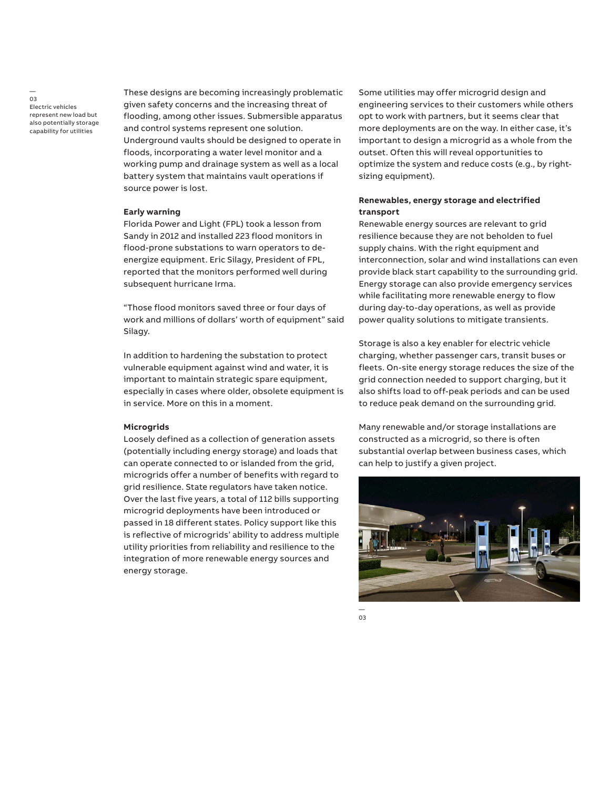— 03 Electric vehicles represent new load but also potentially storage capability for utilities

These designs are becoming increasingly problematic given safety concerns and the increasing threat of flooding, among other issues. Submersible apparatus and control systems represent one solution. Underground vaults should be designed to operate in floods, incorporating a water level monitor and a working pump and drainage system as well as a local battery system that maintains vault operations if source power is lost.

#### **Early warning**

Florida Power and Light (FPL) took a lesson from Sandy in 2012 and installed 223 flood monitors in flood-prone substations to warn operators to deenergize equipment. Eric Silagy, President of FPL, reported that the monitors performed well during subsequent hurricane Irma.

"Those flood monitors saved three or four days of work and millions of dollars' worth of equipment" said Silagy.

In addition to hardening the substation to protect vulnerable equipment against wind and water, it is important to maintain strategic spare equipment, especially in cases where older, obsolete equipment is in service. More on this in a moment.

# **Microgrids**

Loosely defined as a collection of generation assets (potentially including energy storage) and loads that can operate connected to or islanded from the grid, microgrids offer a number of benefits with regard to grid resilience. State regulators have taken notice. Over the last five years, a total of 112 bills supporting microgrid deployments have been introduced or passed in 18 different states. Policy support like this is reflective of microgrids' ability to address multiple utility priorities from reliability and resilience to the integration of more renewable energy sources and energy storage.

Some utilities may offer microgrid design and engineering services to their customers while others opt to work with partners, but it seems clear that more deployments are on the way. In either case, it's important to design a microgrid as a whole from the outset. Often this will reveal opportunities to optimize the system and reduce costs (e.g., by rightsizing equipment).

# **Renewables, energy storage and electrified transport**

Renewable energy sources are relevant to grid resilience because they are not beholden to fuel supply chains. With the right equipment and interconnection, solar and wind installations can even provide black start capability to the surrounding grid. Energy storage can also provide emergency services while facilitating more renewable energy to flow during day-to-day operations, as well as provide power quality solutions to mitigate transients.

Storage is also a key enabler for electric vehicle charging, whether passenger cars, transit buses or fleets. On-site energy storage reduces the size of the grid connection needed to support charging, but it also shifts load to off-peak periods and can be used to reduce peak demand on the surrounding grid.

Many renewable and/or storage installations are constructed as a microgrid, so there is often substantial overlap between business cases, which can help to justify a given project.



 $03$